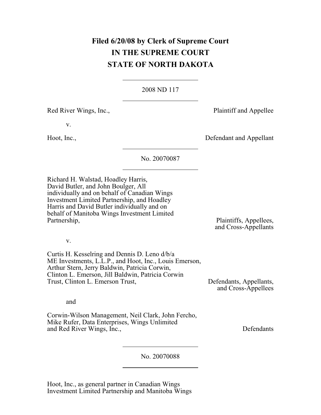# **Filed 6/20/08 by Clerk of Supreme Court IN THE SUPREME COURT STATE OF NORTH DAKOTA**

[2008 ND 117](http://www.ndcourts.gov/supreme-court/opinion/2008ND117)

Red River Wings, Inc., Plaintiff and Appellee

v.

Hoot, Inc., Defendant and Appellant

[No. 20070087](http://www.ndcourts.gov/supreme-court/dockets/20070087)

Richard H. Walstad, Hoadley Harris, David Butler, and John Boulger, All individually and on behalf of Canadian Wings Investment Limited Partnership, and Hoadley Harris and David Butler individually and on behalf of Manitoba Wings Investment Limited Partnership, Partnership, Plaintiffs, Appellees,

and Cross-Appellants

v.

Curtis H. Kesselring and Dennis D. Leno d/b/a ME Investments, L.L.P., and Hoot, Inc., Louis Emerson, Arthur Stern, Jerry Baldwin, Patricia Corwin, Clinton L. Emerson, Jill Baldwin, Patricia Corwin Trust, Clinton L. Emerson Trust, Defendants, Appellants,

and Cross-Appellees

and

Corwin-Wilson Management, Neil Clark, John Fercho, Mike Rufer, Data Enterprises, Wings Unlimited and Red River Wings, Inc., Defendants

[No. 20070088](http://www.ndcourts.gov/supreme-court/dockets/20070088)

Hoot, Inc., as general partner in Canadian Wings Investment Limited Partnership and Manitoba Wings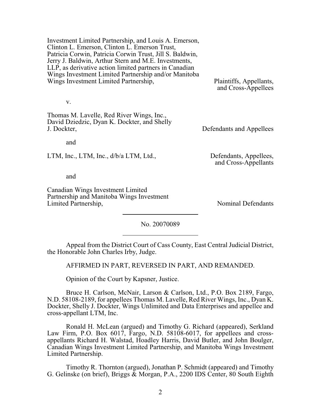Investment Limited Partnership, and Louis A. Emerson, Clinton L. Emerson, Clinton L. Emerson Trust, Patricia Corwin, Patricia Corwin Trust, Jill S. Baldwin, Jerry J. Baldwin, Arthur Stern and M.E. Investments, LLP, as derivative action limited partners in Canadian Wings Investment Limited Partnership and/or Manitoba Wings Investment Limited Partnership, Plaintiffs, Appellants,

and Cross-Appellees

v.

Thomas M. Lavelle, Red River Wings, Inc., David Dziedzic, Dyan K. Dockter, and Shelly J. Dockter, Defendants and Appellees

and

LTM, Inc., LTM, Inc.,  $d/b/a$  LTM, Ltd., Defendants, Appellees,

and

Canadian Wings Investment Limited Partnership and Manitoba Wings Investment Limited Partnership, Nominal Defendants

and Cross-Appellants

[No. 20070089](http://www.ndcourts.gov/supreme-court/dockets/20070089)

Appeal from the District Court of Cass County, East Central Judicial District, the Honorable John Charles Irby, Judge.

AFFIRMED IN PART, REVERSED IN PART, AND REMANDED.

Opinion of the Court by Kapsner, Justice.

Bruce H. Carlson, McNair, Larson & Carlson, Ltd., P.O. Box 2189, Fargo, N.D. 58108-2189, for appellees Thomas M. Lavelle, Red River Wings, Inc., Dyan K. Dockter, Shelly J. Dockter, Wings Unlimited and Data Enterprises and appellee and cross-appellant LTM, Inc.

Ronald H. McLean (argued) and Timothy G. Richard (appeared), Serkland Law Firm, P.O. Box 6017, Fargo, N.D. 58108-6017, for appellees and crossappellants Richard H. Walstad, Hoadley Harris, David Butler, and John Boulger, Canadian Wings Investment Limited Partnership, and Manitoba Wings Investment Limited Partnership.

Timothy R. Thornton (argued), Jonathan P. Schmidt (appeared) and Timothy G. Gelinske (on brief), Briggs & Morgan, P.A., 2200 IDS Center, 80 South Eighth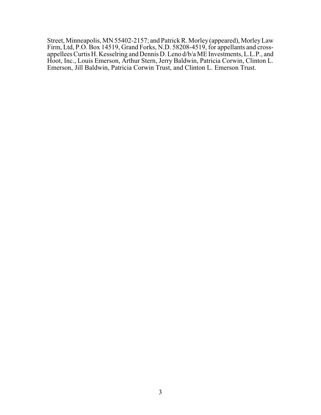Street, Minneapolis, MN 55402-2157; and Patrick R. Morley (appeared), Morley Law Firm, Ltd, P.O. Box 14519, Grand Forks, N.D. 58208-4519, for appellants and crossappellees Curtis H. Kesselring and Dennis D. Leno d/b/a ME Investments, L.L.P., and Hoot, Inc., Louis Emerson, Arthur Stern, Jerry Baldwin, Patricia Corwin, Clinton L. Emerson, Jill Baldwin, Patricia Corwin Trust, and Clinton L. Emerson Trust.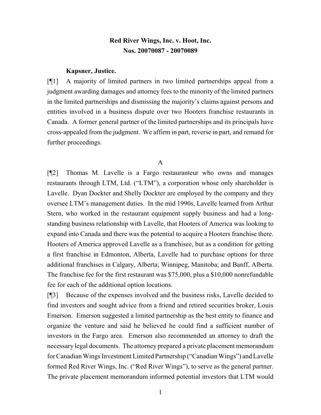# **Red River Wings, Inc. v. Hoot, Inc. Nos. [20070087](http://www.ndcourts.gov/supreme-court/dockets/20070087) - [20070089](http://www.ndcourts.gov/supreme-court/dockets/20070089)**

#### **Kapsner, Justice.**

[¶1] A majority of limited partners in two limited partnerships appeal from a judgment awarding damages and attorney fees to the minority of the limited partners in the limited partnerships and dismissing the majority's claims against persons and entities involved in a business dispute over two Hooters franchise restaurants in Canada. A former general partner of the limited partnerships and its principals have cross-appealed from the judgment. We affirm in part, reverse in part, and remand for further proceedings.

#### A

[¶2] Thomas M. Lavelle is a Fargo restauranteur who owns and manages restaurants through LTM, Ltd. ("LTM"), a corporation whose only shareholder is Lavelle. Dyan Dockter and Shelly Dockter are employed by the company and they oversee LTM's management duties. In the mid 1990s, Lavelle learned from Arthur Stern, who worked in the restaurant equipment supply business and had a longstanding business relationship with Lavelle, that Hooters of America was looking to expand into Canada and there was the potential to acquire a Hooters franchise there. Hooters of America approved Lavelle as a franchisee, but as a condition for getting a first franchise in Edmonton, Alberta, Lavelle had to purchase options for three additional franchises in Calgary, Alberta; Winnipeg, Manitoba; and Banff, Alberta. The franchise fee for the first restaurant was \$75,000, plus a \$10,000 nonrefundable fee for each of the additional option locations.

[¶3] Because of the expenses involved and the business risks, Lavelle decided to find investors and sought advice from a friend and retired securities broker, Louis Emerson. Emerson suggested a limited partnership as the best entity to finance and organize the venture and said he believed he could find a sufficient number of investors in the Fargo area. Emerson also recommended an attorney to draft the necessary legal documents. The attorney prepared a private placement memorandum for Canadian Wings Investment Limited Partnership ("Canadian Wings") and Lavelle formed Red River Wings, Inc. ("Red River Wings"), to serve as the general partner. The private placement memorandum informed potential investors that LTM would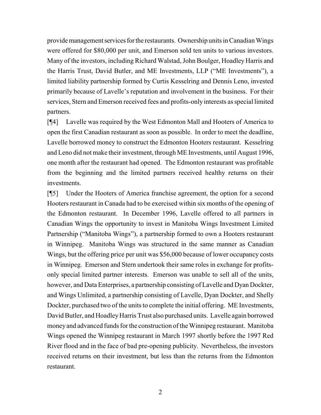provide management services for the restaurants. Ownership units in Canadian Wings were offered for \$80,000 per unit, and Emerson sold ten units to various investors. Many of the investors, including Richard Walstad, John Boulger, Hoadley Harris and the Harris Trust, David Butler, and ME Investments, LLP ("ME Investments"), a limited liability partnership formed by Curtis Kesselring and Dennis Leno, invested primarily because of Lavelle's reputation and involvement in the business. For their services, Stern and Emerson received fees and profits-only interests as special limited partners.

[¶4] Lavelle was required by the West Edmonton Mall and Hooters of America to open the first Canadian restaurant as soon as possible. In order to meet the deadline, Lavelle borrowed money to construct the Edmonton Hooters restaurant. Kesselring and Leno did not make their investment, through ME Investments, until August 1996, one month after the restaurant had opened. The Edmonton restaurant was profitable from the beginning and the limited partners received healthy returns on their investments.

[¶5] Under the Hooters of America franchise agreement, the option for a second Hooters restaurant in Canada had to be exercised within six months of the opening of the Edmonton restaurant. In December 1996, Lavelle offered to all partners in Canadian Wings the opportunity to invest in Manitoba Wings Investment Limited Partnership ("Manitoba Wings"), a partnership formed to own a Hooters restaurant in Winnipeg. Manitoba Wings was structured in the same manner as Canadian Wings, but the offering price per unit was \$56,000 because of lower occupancy costs in Winnipeg. Emerson and Stern undertook their same roles in exchange for profitsonly special limited partner interests. Emerson was unable to sell all of the units, however, and Data Enterprises, a partnership consisting of Lavelle and Dyan Dockter, and Wings Unlimited, a partnership consisting of Lavelle, Dyan Dockter, and Shelly Dockter, purchased two of the units to complete the initial offering. ME Investments, David Butler, and Hoadley Harris Trust also purchased units. Lavelle again borrowed moneyand advanced funds for the construction of the Winnipeg restaurant. Manitoba Wings opened the Winnipeg restaurant in March 1997 shortly before the 1997 Red River flood and in the face of bad pre-opening publicity. Nevertheless, the investors received returns on their investment, but less than the returns from the Edmonton restaurant.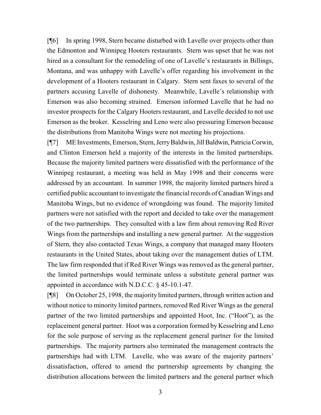[¶6] In spring 1998, Stern became disturbed with Lavelle over projects other than the Edmonton and Winnipeg Hooters restaurants. Stern was upset that he was not hired as a consultant for the remodeling of one of Lavelle's restaurants in Billings, Montana, and was unhappy with Lavelle's offer regarding his involvement in the development of a Hooters restaurant in Calgary. Stern sent faxes to several of the partners accusing Lavelle of dishonesty. Meanwhile, Lavelle's relationship with Emerson was also becoming strained. Emerson informed Lavelle that he had no investor prospects for the Calgary Hooters restaurant, and Lavelle decided to not use Emerson as the broker. Kesselring and Leno were also pressuring Emerson because the distributions from Manitoba Wings were not meeting his projections.

[¶7] MEInvestments, Emerson, Stern, JerryBaldwin,JillBaldwin,PatriciaCorwin, and Clinton Emerson held a majority of the interests in the limited partnerships. Because the majority limited partners were dissatisfied with the performance of the Winnipeg restaurant, a meeting was held in May 1998 and their concerns were addressed by an accountant. In summer 1998, the majority limited partners hired a certified public accountant to investigate the financial records ofCanadian Wings and Manitoba Wings, but no evidence of wrongdoing was found. The majority limited partners were not satisfied with the report and decided to take over the management of the two partnerships. They consulted with a law firm about removing Red River Wings from the partnerships and installing a new general partner. At the suggestion of Stern, they also contacted Texas Wings, a company that managed many Hooters restaurants in the United States, about taking over the management duties of LTM. The law firm responded that if Red River Wings was removed as the general partner, the limited partnerships would terminate unless a substitute general partner was appointed in accordance with N.D.C.C. § 45-10.1-47.

[¶8] On October 25, 1998, the majority limited partners, through written action and without notice to minority limited partners, removed Red River Wings as the general partner of the two limited partnerships and appointed Hoot, Inc. ("Hoot"), as the replacement general partner. Hoot was a corporation formed by Kesselring and Leno for the sole purpose of serving as the replacement general partner for the limited partnerships. The majority partners also terminated the management contracts the partnerships had with LTM. Lavelle, who was aware of the majority partners' dissatisfaction, offered to amend the partnership agreements by changing the distribution allocations between the limited partners and the general partner which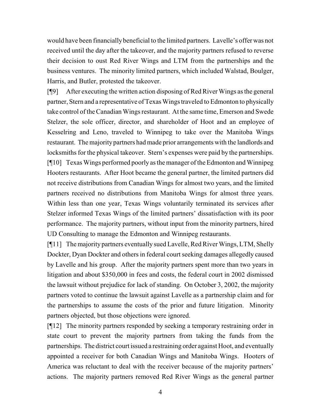would have been financially beneficial to the limited partners. Lavelle's offer was not received until the day after the takeover, and the majority partners refused to reverse their decision to oust Red River Wings and LTM from the partnerships and the business ventures. The minority limited partners, which included Walstad, Boulger, Harris, and Butler, protested the takeover.

[¶9] After executing the written action disposing of Red River Wings as the general partner, Stern and a representative of Texas Wings traveled to Edmonton to physically take control of the Canadian Wings restaurant. At the same time, Emerson and Swede Stelzer, the sole officer, director, and shareholder of Hoot and an employee of Kesselring and Leno, traveled to Winnipeg to take over the Manitoba Wings restaurant. The majority partners had made prior arrangements with the landlords and locksmiths for the physical takeover. Stern's expenses were paid by the partnerships. [¶10] Texas Wings performed poorly as the manager of the Edmonton and Winnipeg Hooters restaurants. After Hoot became the general partner, the limited partners did not receive distributions from Canadian Wings for almost two years, and the limited partners received no distributions from Manitoba Wings for almost three years. Within less than one year, Texas Wings voluntarily terminated its services after Stelzer informed Texas Wings of the limited partners' dissatisfaction with its poor performance. The majority partners, without input from the minority partners, hired UD Consulting to manage the Edmonton and Winnipeg restaurants.

[¶11] The majority partners eventually sued Lavelle, Red River Wings, LTM, Shelly Dockter, Dyan Dockter and others in federal court seeking damages allegedly caused by Lavelle and his group. After the majority partners spent more than two years in litigation and about \$350,000 in fees and costs, the federal court in 2002 dismissed the lawsuit without prejudice for lack of standing. On October 3, 2002, the majority partners voted to continue the lawsuit against Lavelle as a partnership claim and for the partnerships to assume the costs of the prior and future litigation. Minority partners objected, but those objections were ignored.

[¶12] The minority partners responded by seeking a temporary restraining order in state court to prevent the majority partners from taking the funds from the partnerships. The district court issued a restraining order against Hoot, and eventually appointed a receiver for both Canadian Wings and Manitoba Wings. Hooters of America was reluctant to deal with the receiver because of the majority partners' actions. The majority partners removed Red River Wings as the general partner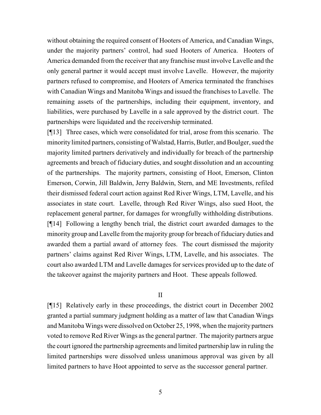without obtaining the required consent of Hooters of America, and Canadian Wings, under the majority partners' control, had sued Hooters of America. Hooters of America demanded from the receiver that any franchise must involve Lavelle and the only general partner it would accept must involve Lavelle. However, the majority partners refused to compromise, and Hooters of America terminated the franchises with Canadian Wings and Manitoba Wings and issued the franchises to Lavelle. The remaining assets of the partnerships, including their equipment, inventory, and liabilities, were purchased by Lavelle in a sale approved by the district court. The partnerships were liquidated and the receivership terminated.

[¶13] Three cases, which were consolidated for trial, arose from this scenario. The minority limited partners, consisting of Walstad, Harris, Butler, and Boulger, sued the majority limited partners derivatively and individually for breach of the partnership agreements and breach of fiduciary duties, and sought dissolution and an accounting of the partnerships. The majority partners, consisting of Hoot, Emerson, Clinton Emerson, Corwin, Jill Baldwin, Jerry Baldwin, Stern, and ME Investments, refiled their dismissed federal court action against Red River Wings, LTM, Lavelle, and his associates in state court. Lavelle, through Red River Wings, also sued Hoot, the replacement general partner, for damages for wrongfully withholding distributions. [¶14] Following a lengthy bench trial, the district court awarded damages to the minority group and Lavelle from the majority group for breach of fiduciary duties and awarded them a partial award of attorney fees. The court dismissed the majority partners' claims against Red River Wings, LTM, Lavelle, and his associates. The court also awarded LTM and Lavelle damages for services provided up to the date of the takeover against the majority partners and Hoot. These appeals followed.

#### II

[¶15] Relatively early in these proceedings, the district court in December 2002 granted a partial summary judgment holding as a matter of law that Canadian Wings and Manitoba Wings were dissolved on October 25, 1998, when the majority partners voted to remove Red River Wings as the general partner. The majority partners argue the court ignored the partnership agreements and limited partnership law in ruling the limited partnerships were dissolved unless unanimous approval was given by all limited partners to have Hoot appointed to serve as the successor general partner.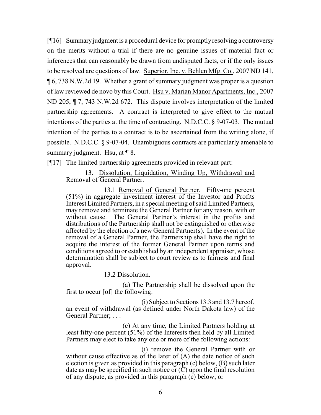[¶16] Summaryjudgment is a procedural device for promptlyresolving a controversy on the merits without a trial if there are no genuine issues of material fact or inferences that can reasonably be drawn from undisputed facts, or if the only issues to be resolved are questions of law. Superior, Inc. v. Behlen Mfg. Co., [2007 ND 141,](http://www.ndcourts.gov/supreme-court/opinion/2007ND141) ¶ 6, 738 N.W.2d 19. Whether a grant of summary judgment was proper is a question of law reviewed de novo by this Court. Hsu v. Marian Manor Apartments, Inc., [2007](http://www.ndcourts.gov/supreme-court/opinion/2007ND205) [ND 205,](http://www.ndcourts.gov/supreme-court/opinion/2007ND205) ¶ 7, [743 N.W.2d 672.](http://www.ndcourts.gov/supreme-court/opinion/743NW2d672) This dispute involves interpretation of the limited partnership agreements. A contract is interpreted to give effect to the mutual intentions of the parties at the time of contracting. N.D.C.C. § 9-07-03. The mutual intention of the parties to a contract is to be ascertained from the writing alone, if possible. N.D.C.C. § 9-07-04. Unambiguous contracts are particularly amenable to summary judgment. Hsu, at  $\P$  8.

[¶17] The limited partnership agreements provided in relevant part:

# 13. Dissolution, Liquidation, Winding Up, Withdrawal and Removal of General Partner.

13.1 Removal of General Partner. Fifty-one percent (51%) in aggregate investment interest of the Investor and Profits Interest Limited Partners, in a special meeting of said Limited Partners, may remove and terminate the General Partner for any reason, with or without cause. The General Partner's interest in the profits and distributions of the Partnership shall not be extinguished or otherwise affected by the election of a new General Partner(s). In the event of the removal of a General Partner, the Partnership shall have the right to acquire the interest of the former General Partner upon terms and conditions agreed to or established by an independent appraiser, whose determination shall be subject to court review as to fairness and final approval.

# 13.2 Dissolution.

(a) The Partnership shall be dissolved upon the first to occur [of] the following:

 $(i)$  Subject to Sections 13.3 and 13.7 hereof, an event of withdrawal (as defined under North Dakota law) of the General Partner; . . .

(c) At any time, the Limited Partners holding at least fifty-one percent (51%) of the Interests then held by all Limited Partners may elect to take any one or more of the following actions:

(i) remove the General Partner with or without cause effective as of the later of (A) the date notice of such election is given as provided in this paragraph (c) below, (B) such later date as may be specified in such notice or  $(C)$  upon the final resolution of any dispute, as provided in this paragraph (c) below; or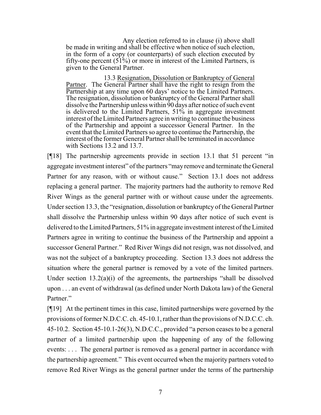Any election referred to in clause (i) above shall be made in writing and shall be effective when notice of such election, in the form of a copy (or counterparts) of such election executed by fifty-one percent  $(51\%)$  or more in interest of the Limited Partners, is given to the General Partner.

13.3 Resignation, Dissolution or Bankruptcy of General Partner. The General Partner shall have the right to resign from the Partnership at any time upon 60 days' notice to the Limited Partners. The resignation, dissolution or bankruptcy of the General Partner shall dissolve the Partnership unless within  $\frac{1}{90}$  days after notice of such event is delivered to the Limited Partners, 51% in aggregate investment interest of the Limited Partners agree in writing to continue the business of the Partnership and appoint a successor General Partner. In the event that the Limited Partners so agree to continue the Partnership, the interest of the former General Partner shall be terminated in accordance with Sections 13.2 and 13.7.

[¶18] The partnership agreements provide in section 13.1 that 51 percent "in aggregate investment interest" of the partners "mayremove and terminate the General Partner for any reason, with or without cause." Section 13.1 does not address replacing a general partner. The majority partners had the authority to remove Red River Wings as the general partner with or without cause under the agreements. Under section 13.3, the "resignation, dissolution or bankruptcy of the General Partner shall dissolve the Partnership unless within 90 days after notice of such event is delivered to the Limited Partners, 51% in aggregate investment interest of the Limited Partners agree in writing to continue the business of the Partnership and appoint a successor General Partner." Red River Wings did not resign, was not dissolved, and was not the subject of a bankruptcy proceeding. Section 13.3 does not address the situation where the general partner is removed by a vote of the limited partners. Under section 13.2(a)(i) of the agreements, the partnerships "shall be dissolved upon . . . an event of withdrawal (as defined under North Dakota law) of the General Partner."

[¶19] At the pertinent times in this case, limited partnerships were governed by the provisions of former N.D.C.C. ch. 45-10.1, rather than the provisions of N.D.C.C. ch. 45-10.2. Section 45-10.1-26(3), N.D.C.C., provided "a person ceases to be a general partner of a limited partnership upon the happening of any of the following events: . . . The general partner is removed as a general partner in accordance with the partnership agreement." This event occurred when the majority partners voted to remove Red River Wings as the general partner under the terms of the partnership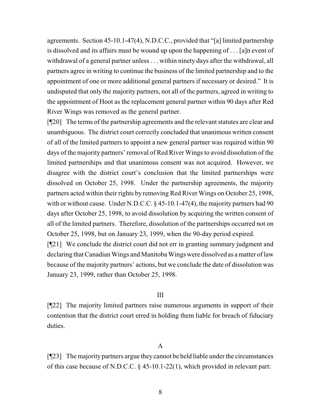agreements. Section 45-10.1-47(4), N.D.C.C., provided that "[a] limited partnership is dissolved and its affairs must be wound up upon the happening of . . . [a]n event of withdrawal of a general partner unless . . . within ninety days after the withdrawal, all partners agree in writing to continue the business of the limited partnership and to the appointment of one or more additional general partners if necessary or desired." It is undisputed that only the majority partners, not all of the partners, agreed in writing to the appointment of Hoot as the replacement general partner within 90 days after Red River Wings was removed as the general partner.

[¶20] The terms of the partnership agreements and the relevant statutes are clear and unambiguous. The district court correctly concluded that unanimous written consent of all of the limited partners to appoint a new general partner was required within 90 days of the majority partners' removal of Red River Wings to avoid dissolution of the limited partnerships and that unanimous consent was not acquired. However, we disagree with the district court's conclusion that the limited partnerships were dissolved on October 25, 1998. Under the partnership agreements, the majority partners acted within their rights by removing Red River Wings on October 25, 1998, with or without cause. Under N.D.C.C.  $\S$  45-10.1-47(4), the majority partners had 90 days after October 25, 1998, to avoid dissolution by acquiring the written consent of all of the limited partners. Therefore, dissolution of the partnerships occurred not on October 25, 1998, but on January 23, 1999, when the 90-day period expired.

[¶21] We conclude the district court did not err in granting summary judgment and declaring that Canadian Wings and Manitoba Wings were dissolved as a matter of law because of the majority partners' actions, but we conclude the date of dissolution was January 23, 1999, rather than October 25, 1998.

## III

[¶22] The majority limited partners raise numerous arguments in support of their contention that the district court erred in holding them liable for breach of fiduciary duties.

#### A

[¶23] The majority partners argue they cannot be held liable under the circumstances of this case because of N.D.C.C. § 45-10.1-22(1), which provided in relevant part:

8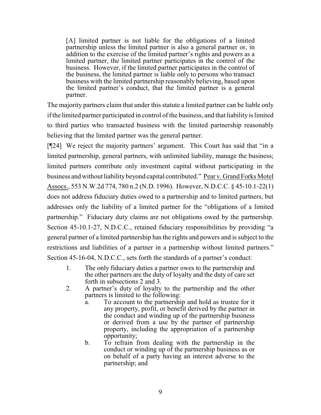[A] limited partner is not liable for the obligations of a limited partnership unless the limited partner is also a general partner or, in addition to the exercise of the limited partner's rights and powers as a limited partner, the limited partner participates in the control of the business. However, if the limited partner participates in the control of the business, the limited partner is liable only to persons who transact business with the limited partnership reasonably believing, based upon the limited partner's conduct, that the limited partner is a general partner.

The majority partners claim that under this statute a limited partner can be liable only ifthe limited partner participated in control of the business, and that liabilityis limited to third parties who transacted business with the limited partnership reasonably believing that the limited partner was the general partner.

[¶24] We reject the majority partners' argument. This Court has said that "in a limited partnership, general partners, with unlimited liability, manage the business; limited partners contribute only investment capital without participating in the business and without liabilitybeyond capital contributed." Pear v. Grand Forks Motel Assocs., 553 N.W.2d 774, 780 n.2 (N.D. 1996). However, N.D.C.C. § 45-10.1-22(1) does not address fiduciary duties owed to a partnership and to limited partners, but addresses only the liability of a limited partner for the "obligations of a limited partnership." Fiduciary duty claims are not obligations owed by the partnership. Section 45-10.1-27, N.D.C.C., retained fiduciary responsibilities by providing "a general partner of a limited partnership has the rights and powers and is subject to the restrictions and liabilities of a partner in a partnership without limited partners." Section 45-16-04, N.D.C.C., sets forth the standards of a partner's conduct:

- 1. The only fiduciary duties a partner owes to the partnership and the other partners are the duty of loyalty and the duty of care set forth in subsections 2 and 3.
- 2. A partner's duty of loyalty to the partnership and the other partners is limited to the following:
	- a. To account to the partnership and hold as trustee for it any property, profit, or benefit derived by the partner in the conduct and winding up of the partnership business or derived from a use by the partner of partnership property, including the appropriation of a partnership opportunity;
	- b. To refrain from dealing with the partnership in the conduct or winding up of the partnership business as or on behalf of a party having an interest adverse to the partnership; and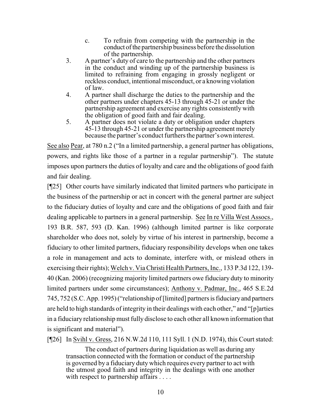- c. To refrain from competing with the partnership in the conduct of the partnership business before the dissolution of the partnership.
- 3. A partner's duty of care to the partnership and the other partners in the conduct and winding up of the partnership business is limited to refraining from engaging in grossly negligent or reckless conduct, intentional misconduct, or a knowing violation of law.
- 4. A partner shall discharge the duties to the partnership and the other partners under chapters 45-13 through 45-21 or under the partnership agreement and exercise any rights consistently with the obligation of good faith and fair dealing.
- 5. A partner does not violate a duty or obligation under chapters 45-13 through 45-21 or under the partnership agreement merely because the partner's conduct furthers the partner's own interest.

See also Pear, at 780 n.2 ("In a limited partnership, a general partner has obligations, powers, and rights like those of a partner in a regular partnership"). The statute imposes upon partners the duties of loyalty and care and the obligations of good faith and fair dealing.

[¶25] Other courts have similarly indicated that limited partners who participate in the business of the partnership or act in concert with the general partner are subject to the fiduciary duties of loyalty and care and the obligations of good faith and fair dealing applicable to partners in a general partnership. See In re Villa West Assocs., 193 B.R. 587, 593 (D. Kan. 1996) (although limited partner is like corporate shareholder who does not, solely by virtue of his interest in partnership, become a fiduciary to other limited partners, fiduciary responsibility develops when one takes a role in management and acts to dominate, interfere with, or mislead others in exercising their rights); Welch v. Via Christi Health Partners, Inc., 133 P.3d 122, 139- 40 (Kan. 2006) (recognizing majority limited partners owe fiduciary duty to minority limited partners under some circumstances); Anthony v. Padmar, Inc., 465 S.E.2d 745, 752 (S.C. App. 1995) ("relationship of[limited] partners is fiduciaryand partners are held to high standards of integrity in their dealings with each other," and "[p]arties in a fiduciary relationship must fully disclose to each other all known information that is significant and material").

[¶26] In Svihl v. Gress, [216 N.W.2d 110,](http://www.ndcourts.gov/supreme-court/opinion/216NW2d110) 111 Syll. 1 (N.D. 1974), this Court stated:

The conduct of partners during liquidation as well as during any transaction connected with the formation or conduct of the partnership is governed by a fiduciary duty which requires every partner to act with the utmost good faith and integrity in the dealings with one another with respect to partnership affairs . . . .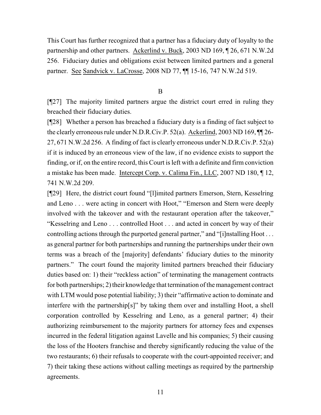This Court has further recognized that a partner has a fiduciary duty of loyalty to the partnership and other partners. Ackerlind v. Buck, [2003 ND 169,](http://www.ndcourts.gov/supreme-court/opinion/2003ND169) ¶ 26, [671 N.W.2d](http://www.ndcourts.gov/supreme-court/opinion/671NW2d256) [256.](http://www.ndcourts.gov/supreme-court/opinion/671NW2d256) Fiduciary duties and obligations exist between limited partners and a general partner. See Sandvick v. LaCrosse, [2008 ND 77,](http://www.ndcourts.gov/supreme-court/opinion/2008ND77) ¶¶ 15-16, [747 N.W.2d 519.](http://www.ndcourts.gov/supreme-court/opinion/747NW2d519)

#### B

[¶27] The majority limited partners argue the district court erred in ruling they breached their fiduciary duties.

[¶28] Whether a person has breached a fiduciary duty is a finding of fact subject to the clearly erroneous rule under [N.D.R.Civ.P. 52\(a\).](http://www.ndcourts.gov/legal-resources/rules/ndrcivp/52) Ackerlind, [2003 ND 169,](http://www.ndcourts.gov/supreme-court/opinion/2003ND169) ¶¶ 26- 27, [671 N.W.2d 256.](http://www.ndcourts.gov/supreme-court/opinion/671NW2d256) A finding of fact is clearly erroneous under [N.D.R.Civ.P. 52\(a\)](http://www.ndcourts.gov/legal-resources/rules/ndrcivp/52) if it is induced by an erroneous view of the law, if no evidence exists to support the finding, or if, on the entire record, this Court is left with a definite and firm conviction a mistake has been made. Intercept Corp. v. Calima Fin., LLC, [2007 ND 180,](http://www.ndcourts.gov/supreme-court/opinion/2007ND180) ¶ 12, [741 N.W.2d 209.](http://www.ndcourts.gov/supreme-court/opinion/741NW2d209)

[¶29] Here, the district court found "[l]imited partners Emerson, Stern, Kesselring and Leno . . . were acting in concert with Hoot," "Emerson and Stern were deeply involved with the takeover and with the restaurant operation after the takeover," "Kesselring and Leno . . . controlled Hoot . . . and acted in concert by way of their controlling actions through the purported general partner," and "[i]nstalling Hoot ... as general partner for both partnerships and running the partnerships under their own terms was a breach of the [majority] defendants' fiduciary duties to the minority partners." The court found the majority limited partners breached their fiduciary duties based on: 1) their "reckless action" of terminating the management contracts for both partnerships; 2) their knowledge that termination of the management contract with LTM would pose potential liability; 3) their "affirmative action to dominate and interfere with the partnership[s]" by taking them over and installing Hoot, a shell corporation controlled by Kesselring and Leno, as a general partner; 4) their authorizing reimbursement to the majority partners for attorney fees and expenses incurred in the federal litigation against Lavelle and his companies; 5) their causing the loss of the Hooters franchise and thereby significantly reducing the value of the two restaurants; 6) their refusals to cooperate with the court-appointed receiver; and 7) their taking these actions without calling meetings as required by the partnership agreements.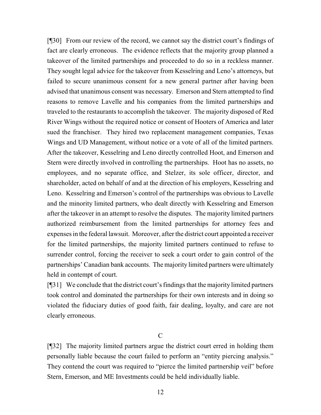[¶30] From our review of the record, we cannot say the district court's findings of fact are clearly erroneous. The evidence reflects that the majority group planned a takeover of the limited partnerships and proceeded to do so in a reckless manner. They sought legal advice for the takeover from Kesselring and Leno's attorneys, but failed to secure unanimous consent for a new general partner after having been advised that unanimous consent was necessary. Emerson and Stern attempted to find reasons to remove Lavelle and his companies from the limited partnerships and traveled to the restaurants to accomplish the takeover. The majority disposed of Red River Wings without the required notice or consent of Hooters of America and later sued the franchiser. They hired two replacement management companies, Texas Wings and UD Management, without notice or a vote of all of the limited partners. After the takeover, Kesselring and Leno directly controlled Hoot, and Emerson and Stern were directly involved in controlling the partnerships. Hoot has no assets, no employees, and no separate office, and Stelzer, its sole officer, director, and shareholder, acted on behalf of and at the direction of his employers, Kesselring and Leno. Kesselring and Emerson's control of the partnerships was obvious to Lavelle and the minority limited partners, who dealt directly with Kesselring and Emerson after the takeover in an attempt to resolve the disputes. The majority limited partners authorized reimbursement from the limited partnerships for attorney fees and expenses in the federal lawsuit. Moreover, after the district court appointed a receiver for the limited partnerships, the majority limited partners continued to refuse to surrender control, forcing the receiver to seek a court order to gain control of the partnerships' Canadian bank accounts. The majority limited partners were ultimately held in contempt of court.

[¶31] We conclude that the district court's findings that the majority limited partners took control and dominated the partnerships for their own interests and in doing so violated the fiduciary duties of good faith, fair dealing, loyalty, and care are not clearly erroneous.

 $\overline{C}$ 

[¶32] The majority limited partners argue the district court erred in holding them personally liable because the court failed to perform an "entity piercing analysis." They contend the court was required to "pierce the limited partnership veil" before Stern, Emerson, and ME Investments could be held individually liable.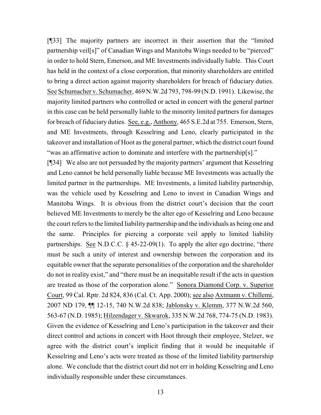[¶33] The majority partners are incorrect in their assertion that the "limited partnership veil[s]" of Canadian Wings and Manitoba Wings needed to be "pierced" in order to hold Stern, Emerson, and ME Investments individually liable. This Court has held in the context of a close corporation, that minority shareholders are entitled to bring a direct action against majority shareholders for breach of fiduciary duties. See Schumacher v. Schumacher, [469 N.W.2d 793,](http://www.ndcourts.gov/supreme-court/opinion/469NW2d793) 798-99 (N.D. 1991). Likewise, the majority limited partners who controlled or acted in concert with the general partner in this case can be held personally liable to the minority limited partners for damages for breach of fiduciary duties. See, e.g., Anthony, 465 S.E.2d at 755. Emerson, Stern, and ME Investments, through Kesselring and Leno, clearly participated in the takeover and installation of Hoot as the general partner, which the district court found "was an affirmative action to dominate and interfere with the partnership[s]."

[¶34] We also are not persuaded by the majority partners' argument that Kesselring and Leno cannot be held personally liable because ME Investments was actually the limited partner in the partnerships. ME Investments, a limited liability partnership, was the vehicle used by Kesselring and Leno to invest in Canadian Wings and Manitoba Wings. It is obvious from the district court's decision that the court believed ME Investments to merely be the alter ego of Kesselring and Leno because the court refers to the limited liability partnership and the individuals as being one and the same. Principles for piercing a corporate veil apply to limited liability partnerships. See N.D.C.C.  $\S$  45-22-09(1). To apply the alter ego doctrine, "there must be such a unity of interest and ownership between the corporation and its equitable owner that the separate personalities of the corporation and the shareholder do not in reality exist," and "there must be an inequitable result if the acts in question are treated as those of the corporation alone." Sonora Diamond Corp. v. Superior Court, 99 Cal. Rptr. 2d 824, 836 (Cal. Ct. App. 2000); see also Axtmann v. Chillemi, [2007 ND 179,](http://www.ndcourts.gov/supreme-court/opinion/2007ND179) ¶¶ 12-15, [740 N.W.2d 838;](http://www.ndcourts.gov/supreme-court/opinion/740NW2d838) Jablonsky v. Klemm, [377 N.W.2d 560,](http://www.ndcourts.gov/supreme-court/opinion/377NW2d560) 563-67 (N.D. 1985); Hilzendager v. Skwarok, [335 N.W.2d 768,](http://www.ndcourts.gov/supreme-court/opinion/335NW2d768) 774-75 (N.D. 1983). Given the evidence of Kesselring and Leno's participation in the takeover and their direct control and actions in concert with Hoot through their employee, Stelzer, we agree with the district court's implicit finding that it would be inequitable if Kesselring and Leno's acts were treated as those of the limited liability partnership alone. We conclude that the district court did not err in holding Kesselring and Leno individually responsible under these circumstances.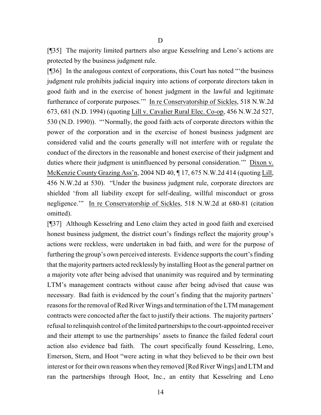[¶35] The majority limited partners also argue Kesselring and Leno's actions are protected by the business judgment rule.

[¶36] In the analogous context of corporations, this Court has noted "'the business judgment rule prohibits judicial inquiry into actions of corporate directors taken in good faith and in the exercise of honest judgment in the lawful and legitimate furtherance of corporate purposes.'" In re Conservatorship of Sickles, [518 N.W.2d](http://www.ndcourts.gov/supreme-court/opinion/518NW2d673) [673,](http://www.ndcourts.gov/supreme-court/opinion/518NW2d673) 681 (N.D. 1994) (quoting Lill v. Cavalier Rural Elec. Co-op, [456 N.W.2d 527,](http://www.ndcourts.gov/supreme-court/opinion/456NW2d527) 530 (N.D. 1990)). "'Normally, the good faith acts of corporate directors within the power of the corporation and in the exercise of honest business judgment are considered valid and the courts generally will not interfere with or regulate the conduct of the directors in the reasonable and honest exercise of their judgment and duties where their judgment is uninfluenced by personal consideration.'" Dixon v. McKenzie County Grazing Ass'n, [2004 ND 40,](http://www.ndcourts.gov/supreme-court/opinion/2004ND40) ¶ 17, [675 N.W.2d 414](http://www.ndcourts.gov/supreme-court/opinion/675NW2d414) (quoting Lill, 456 N.W.2d at 530). "Under the business judgment rule, corporate directors are shielded 'from all liability except for self-dealing, willful misconduct or gross negligence.'" In re Conservatorship of Sickles, 518 N.W.2d at 680-81 (citation omitted).

[¶37] Although Kesselring and Leno claim they acted in good faith and exercised honest business judgment, the district court's findings reflect the majority group's actions were reckless, were undertaken in bad faith, and were for the purpose of furthering the group's own perceived interests. Evidence supports the court's finding that the majority partners acted recklessly by installing Hoot as the general partner on a majority vote after being advised that unanimity was required and by terminating LTM's management contracts without cause after being advised that cause was necessary. Bad faith is evidenced by the court's finding that the majority partners' reasons for the removal of Red River Wings and termination of the LTM management contracts were concocted after the fact to justify their actions. The majority partners' refusal to relinquish control of the limited partnerships to the court-appointed receiver and their attempt to use the partnerships' assets to finance the failed federal court action also evidence bad faith. The court specifically found Kesselring, Leno, Emerson, Stern, and Hoot "were acting in what they believed to be their own best interest or for their own reasons when they removed [Red River Wings] and LTM and ran the partnerships through Hoot, Inc., an entity that Kesselring and Leno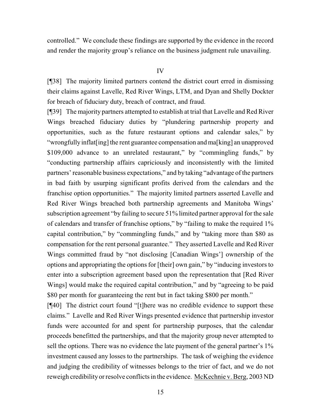controlled." We conclude these findings are supported by the evidence in the record and render the majority group's reliance on the business judgment rule unavailing.

#### IV

[¶38] The majority limited partners contend the district court erred in dismissing their claims against Lavelle, Red River Wings, LTM, and Dyan and Shelly Dockter for breach of fiduciary duty, breach of contract, and fraud.

[¶39] The majority partners attempted to establish at trial that Lavelle and Red River Wings breached fiduciary duties by "plundering partnership property and opportunities, such as the future restaurant options and calendar sales," by "wrongfully inflat [ing] the rent guarantee compensation and ma<sup>[king]</sup> an unapproved \$109,000 advance to an unrelated restaurant," by "commingling funds," by "conducting partnership affairs capriciously and inconsistently with the limited partners' reasonable business expectations," and by taking "advantage of the partners in bad faith by usurping significant profits derived from the calendars and the franchise option opportunities." The majority limited partners asserted Lavelle and Red River Wings breached both partnership agreements and Manitoba Wings' subscription agreement "by failing to secure 51% limited partner approval for the sale of calendars and transfer of franchise options," by "failing to make the required 1% capital contribution," by "commingling funds," and by "taking more than \$80 as compensation for the rent personal guarantee." They asserted Lavelle and Red River Wings committed fraud by "not disclosing [Canadian Wings'] ownership of the options and appropriating the options for [their] own gain," by "inducing investors to enter into a subscription agreement based upon the representation that [Red River Wings] would make the required capital contribution," and by "agreeing to be paid \$80 per month for guaranteeing the rent but in fact taking \$800 per month."

[¶40] The district court found "[t]here was no credible evidence to support these claims." Lavelle and Red River Wings presented evidence that partnership investor funds were accounted for and spent for partnership purposes, that the calendar proceeds benefitted the partnerships, and that the majority group never attempted to sell the options. There was no evidence the late payment of the general partner's 1% investment caused any losses to the partnerships. The task of weighing the evidence and judging the credibility of witnesses belongs to the trier of fact, and we do not reweigh credibilityor resolve conflicts in the evidence. McKechnie v. Berg, [2003 ND](http://www.ndcourts.gov/supreme-court/opinion/2003ND136)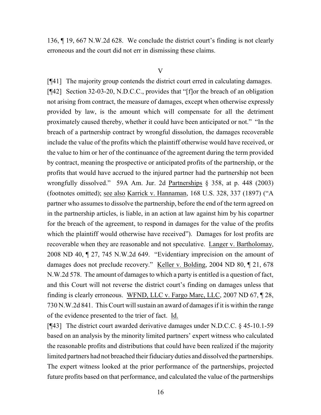[136,](http://www.ndcourts.gov/supreme-court/opinion/2003ND136) ¶ 19, [667 N.W.2d 628.](http://www.ndcourts.gov/supreme-court/opinion/667NW2d628) We conclude the district court's finding is not clearly erroneous and the court did not err in dismissing these claims.

#### V

[¶41] The majority group contends the district court erred in calculating damages. [¶42] Section 32-03-20, N.D.C.C., provides that "[f]or the breach of an obligation not arising from contract, the measure of damages, except when otherwise expressly provided by law, is the amount which will compensate for all the detriment proximately caused thereby, whether it could have been anticipated or not." "In the breach of a partnership contract by wrongful dissolution, the damages recoverable include the value of the profits which the plaintiff otherwise would have received, or the value to him or her of the continuance of the agreement during the term provided by contract, meaning the prospective or anticipated profits of the partnership, or the profits that would have accrued to the injured partner had the partnership not been wrongfully dissolved." 59A Am. Jur. 2d Partnerships § 358, at p. 448 (2003) (footnotes omitted); see also Karrick v. Hannaman, 168 U.S. 328, 337 (1897) ("A partner who assumes to dissolve the partnership, before the end of the term agreed on in the partnership articles, is liable, in an action at law against him by his copartner for the breach of the agreement, to respond in damages for the value of the profits which the plaintiff would otherwise have received"). Damages for lost profits are recoverable when they are reasonable and not speculative. Langer v. Bartholomay, [2008 ND 40,](http://www.ndcourts.gov/supreme-court/opinion/2008ND40) ¶ 27, [745 N.W.2d 649.](http://www.ndcourts.gov/supreme-court/opinion/745NW2d649) "Evidentiary imprecision on the amount of damages does not preclude recovery." Keller v. Bolding, [2004 ND 80,](http://www.ndcourts.gov/supreme-court/opinion/2004ND80) ¶ 21, [678](http://www.ndcourts.gov/supreme-court/opinion/678NW2d578) [N.W.2d 578.](http://www.ndcourts.gov/supreme-court/opinion/678NW2d578) The amount of damages to which a party is entitled is a question of fact, and this Court will not reverse the district court's finding on damages unless that finding is clearly erroneous. WFND, LLC v. Fargo Marc, LLC, [2007 ND 67,](http://www.ndcourts.gov/supreme-court/opinion/2007ND67) ¶ 28, [730 N.W.2d 841.](http://www.ndcourts.gov/supreme-court/opinion/730NW2d841) This Court will sustain an award of damages if it is within the range of the evidence presented to the trier of fact. Id.

[¶43] The district court awarded derivative damages under N.D.C.C. § 45-10.1-59 based on an analysis by the minority limited partners' expert witness who calculated the reasonable profits and distributions that could have been realized if the majority limited partners had not breached their fiduciaryduties and dissolved the partnerships. The expert witness looked at the prior performance of the partnerships, projected future profits based on that performance, and calculated the value of the partnerships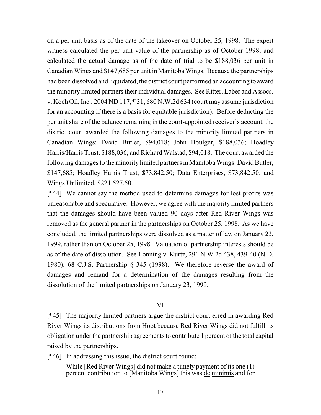on a per unit basis as of the date of the takeover on October 25, 1998. The expert witness calculated the per unit value of the partnership as of October 1998, and calculated the actual damage as of the date of trial to be \$188,036 per unit in Canadian Wings and \$147,685 per unit in Manitoba Wings. Because the partnerships had been dissolved and liquidated, the district court performed an accounting to award the minority limited partners their individual damages. See Ritter, Laber and Assocs. v. Koch Oil, Inc., [2004 ND 117,](http://www.ndcourts.gov/supreme-court/opinion/2004ND117) ¶ 31, [680 N.W.2d 634](http://www.ndcourts.gov/supreme-court/opinion/680NW2d634) (court may assume jurisdiction for an accounting if there is a basis for equitable jurisdiction). Before deducting the per unit share of the balance remaining in the court-appointed receiver's account, the district court awarded the following damages to the minority limited partners in Canadian Wings: David Butler, \$94,018; John Boulger, \$188,036; Hoadley Harris/Harris Trust, \$188,036; and Richard Walstad, \$94,018. The court awarded the following damages to the minority limited partners in Manitoba Wings: David Butler, \$147,685; Hoadley Harris Trust, \$73,842.50; Data Enterprises, \$73,842.50; and Wings Unlimited, \$221,527.50.

[¶44] We cannot say the method used to determine damages for lost profits was unreasonable and speculative. However, we agree with the majority limited partners that the damages should have been valued 90 days after Red River Wings was removed as the general partner in the partnerships on October 25, 1998. As we have concluded, the limited partnerships were dissolved as a matter of law on January 23, 1999, rather than on October 25, 1998. Valuation of partnership interests should be as of the date of dissolution. See Lonning v. Kurtz, [291 N.W.2d 438,](http://www.ndcourts.gov/supreme-court/opinion/291NW2d438) 439-40 (N.D. 1980); 68 C.J.S. Partnership § 345 (1998). We therefore reverse the award of damages and remand for a determination of the damages resulting from the dissolution of the limited partnerships on January 23, 1999.

## VI

[¶45] The majority limited partners argue the district court erred in awarding Red River Wings its distributions from Hoot because Red River Wings did not fulfill its obligation under the partnership agreements to contribute 1 percent of the total capital raised by the partnerships.

[¶46] In addressing this issue, the district court found:

While [Red River Wings] did not make a timely payment of its one (1) percent contribution to [Manitoba Wings] this was de minimis and for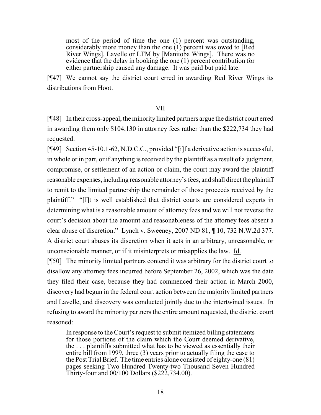most of the period of time the one (1) percent was outstanding, considerably more money than the one  $(1)$  percent was owed to [Red] River Wings], Lavelle or LTM by [Manitoba Wings]. There was no evidence that the delay in booking the one (1) percent contribution for either partnership caused any damage. It was paid but paid late.

[¶47] We cannot say the district court erred in awarding Red River Wings its distributions from Hoot.

#### VII

[¶48] In their cross-appeal, the minoritylimited partners argue the district court erred in awarding them only \$104,130 in attorney fees rather than the \$222,734 they had requested.

[¶49] Section 45-10.1-62, N.D.C.C., provided "[i]f a derivative action is successful, in whole or in part, or if anything is received by the plaintiff as a result of a judgment, compromise, or settlement of an action or claim, the court may award the plaintiff reasonable expenses, including reasonable attorney's fees, and shall direct the plaintiff to remit to the limited partnership the remainder of those proceeds received by the plaintiff." "[I]t is well established that district courts are considered experts in determining what is a reasonable amount of attorney fees and we will not reverse the court's decision about the amount and reasonableness of the attorney fees absent a clear abuse of discretion." Lynch v. Sweeney, [2007 ND 81,](http://www.ndcourts.gov/supreme-court/opinion/2007ND81) ¶ 10, [732 N.W.2d 377.](http://www.ndcourts.gov/supreme-court/opinion/732NW2d377)  A district court abuses its discretion when it acts in an arbitrary, unreasonable, or unconscionable manner, or if it misinterprets or misapplies the law. Id.

[¶50] The minority limited partners contend it was arbitrary for the district court to disallow any attorney fees incurred before September 26, 2002, which was the date they filed their case, because they had commenced their action in March 2000, discovery had begun in the federal court action between the majority limited partners and Lavelle, and discovery was conducted jointly due to the intertwined issues. In refusing to award the minority partners the entire amount requested, the district court reasoned:

In response to the Court's request to submit itemized billing statements for those portions of the claim which the Court deemed derivative, the . . . plaintiffs submitted what has to be viewed as essentially their entire bill from 1999, three (3) years prior to actually filing the case to the Post Trial Brief. The time entries alone consisted of eighty-one (81) pages seeking Two Hundred Twenty-two Thousand Seven Hundred Thirty-four and 00/100 Dollars (\$222,734.00).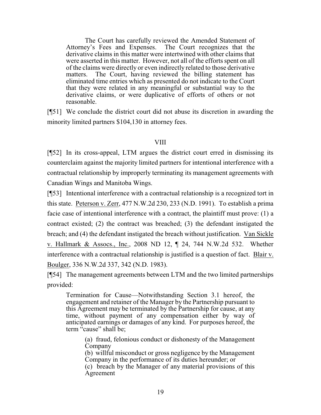The Court has carefully reviewed the Amended Statement of Attorney's Fees and Expenses. The Court recognizes that the The Court recognizes that the derivative claims in this matter were intertwined with other claims that were asserted in this matter. However, not all of the efforts spent on all of the claims were directly or even indirectly related to those derivative matters. The Court, having reviewed the billing statement has eliminated time entries which as presented do not indicate to the Court that they were related in any meaningful or substantial way to the derivative claims, or were duplicative of efforts of others or not reasonable.

[¶51] We conclude the district court did not abuse its discretion in awarding the minority limited partners \$104,130 in attorney fees.

## VIII

[¶52] In its cross-appeal, LTM argues the district court erred in dismissing its counterclaim against the majority limited partners for intentional interference with a contractual relationship by improperly terminating its management agreements with Canadian Wings and Manitoba Wings.

[¶53] Intentional interference with a contractual relationship is a recognized tort in this state. Peterson v. Zerr, [477 N.W.2d 230,](http://www.ndcourts.gov/supreme-court/opinion/477NW2d230) 233 (N.D. 1991). To establish a prima facie case of intentional interference with a contract, the plaintiff must prove: (1) a contract existed; (2) the contract was breached; (3) the defendant instigated the breach; and (4) the defendant instigated the breach without justification. Van Sickle v. Hallmark & Assocs., Inc., [2008 ND 12,](http://www.ndcourts.gov/supreme-court/opinion/2008ND12) ¶ 24, [744 N.W.2d](http://www.ndcourts.gov/supreme-court/opinion/744NW2d532) 532. Whether interference with a contractual relationship is justified is a question of fact. Blair v. Boulger, [336 N.W.2d 337,](http://www.ndcourts.gov/supreme-court/opinion/336NW2d337) 342 (N.D. 1983).

[¶54] The management agreements between LTM and the two limited partnerships provided:

Termination for Cause—Notwithstanding Section 3.1 hereof, the engagement and retainer of the Manager by the Partnership pursuant to this Agreement may be terminated by the Partnership for cause, at any time, without payment of any compensation either by way of anticipated earnings or damages of any kind. For purposes hereof, the term "cause" shall be;

(a) fraud, felonious conduct or dishonesty of the Management Company

(b) willful misconduct or gross negligence by the Management Company in the performance of its duties hereunder; or

(c) breach by the Manager of any material provisions of this Agreement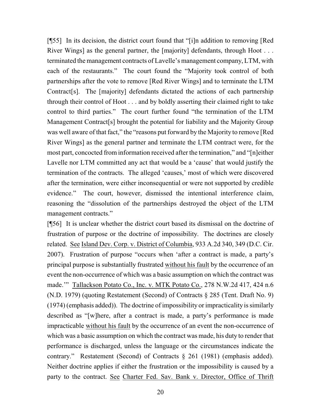[¶55] In its decision, the district court found that "[i]n addition to removing [Red River Wings] as the general partner, the [majority] defendants, through Hoot . . . terminated the management contracts of Lavelle's management company, LTM, with each of the restaurants." The court found the "Majority took control of both partnerships after the vote to remove [Red River Wings] and to terminate the LTM Contract[s]. The [majority] defendants dictated the actions of each partnership through their control of Hoot . . . and by boldly asserting their claimed right to take control to third parties." The court further found "the termination of the LTM Management Contract<sup>[s]</sup> brought the potential for liability and the Majority Group was well aware of that fact," the "reasons put forward by the Majority to remove [Red River Wings] as the general partner and terminate the LTM contract were, for the most part, concocted from information received after the termination," and "[n]either Lavelle nor LTM committed any act that would be a 'cause' that would justify the termination of the contracts. The alleged 'causes,' most of which were discovered after the termination, were either inconsequential or were not supported by credible evidence." The court, however, dismissed the intentional interference claim, reasoning the "dissolution of the partnerships destroyed the object of the LTM management contracts."

[¶56] It is unclear whether the district court based its dismissal on the doctrine of frustration of purpose or the doctrine of impossibility. The doctrines are closely related. See Island Dev. Corp. v. District of Columbia, 933 A.2d 340, 349 (D.C. Cir. 2007). Frustration of purpose "occurs when 'after a contract is made, a party's principal purpose is substantially frustrated without his fault by the occurrence of an event the non-occurrence of which was a basic assumption on which the contract was made.'" Tallackson Potato Co., Inc. v. MTK Potato Co., [278 N.W.2d 417,](http://www.ndcourts.gov/supreme-court/opinion/278NW2d417) 424 n.6 (N.D. 1979) (quoting Restatement (Second) of Contracts § 285 (Tent. Draft No. 9) (1974) (emphasis added)). The doctrine of impossibility or impracticality is similarly described as "[w]here, after a contract is made, a party's performance is made impracticable without his fault by the occurrence of an event the non-occurrence of which was a basic assumption on which the contract was made, his duty to render that performance is discharged, unless the language or the circumstances indicate the contrary." Restatement (Second) of Contracts § 261 (1981) (emphasis added). Neither doctrine applies if either the frustration or the impossibility is caused by a party to the contract. See Charter Fed. Sav. Bank v. Director, Office of Thrift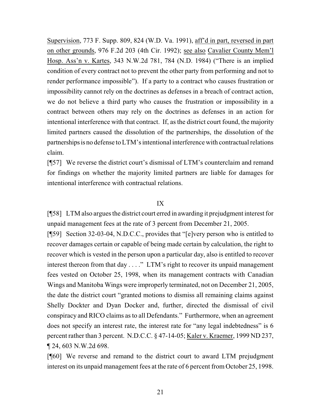Supervision, 773 F. Supp. 809, 824 (W.D. Va. 1991), aff'd in part, reversed in part on other grounds, 976 F.2d 203 (4th Cir. 1992); see also Cavalier County Mem'l Hosp. Ass'n v. Kartes, [343 N.W.2d 781,](http://www.ndcourts.gov/supreme-court/opinion/343NW2d781) 784 (N.D. 1984) ("There is an implied condition of every contract not to prevent the other party from performing and not to render performance impossible"). If a party to a contract who causes frustration or impossibility cannot rely on the doctrines as defenses in a breach of contract action, we do not believe a third party who causes the frustration or impossibility in a contract between others may rely on the doctrines as defenses in an action for intentional interference with that contract. If, as the district court found, the majority limited partners caused the dissolution of the partnerships, the dissolution of the partnerships is no defense to LTM's intentional interference with contractual relations claim.

[¶57] We reverse the district court's dismissal of LTM's counterclaim and remand for findings on whether the majority limited partners are liable for damages for intentional interference with contractual relations.

#### IX

[¶58] LTM also argues the district court erred in awarding it prejudgment interest for unpaid management fees at the rate of 3 percent from December 21, 2005.

[¶59] Section 32-03-04, N.D.C.C., provides that "[e]very person who is entitled to recover damages certain or capable of being made certain by calculation, the right to recover which is vested in the person upon a particular day, also is entitled to recover interest thereon from that day . . . ." LTM's right to recover its unpaid management fees vested on October 25, 1998, when its management contracts with Canadian Wings and Manitoba Wings were improperly terminated, not on December 21, 2005, the date the district court "granted motions to dismiss all remaining claims against Shelly Dockter and Dyan Docker and, further, directed the dismissal of civil conspiracy and RICO claims as to all Defendants." Furthermore, when an agreement does not specify an interest rate, the interest rate for "any legal indebtedness" is 6 percent rather than 3 percent. N.D.C.C. § 47-14-05; Kaler v. Kraemer, [1999 ND 237,](http://www.ndcourts.gov/supreme-court/opinion/1999ND237) ¶ 24, [603 N.W.2d 698.](http://www.ndcourts.gov/supreme-court/opinion/603NW2d698)

[¶60] We reverse and remand to the district court to award LTM prejudgment interest on its unpaid management fees at the rate of 6 percent from October 25, 1998.